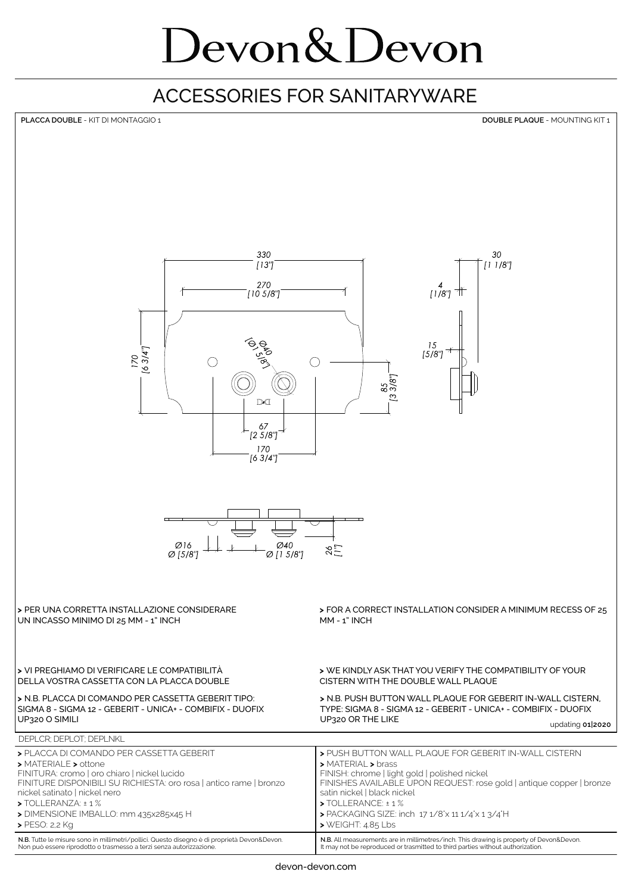## Devon & Devon

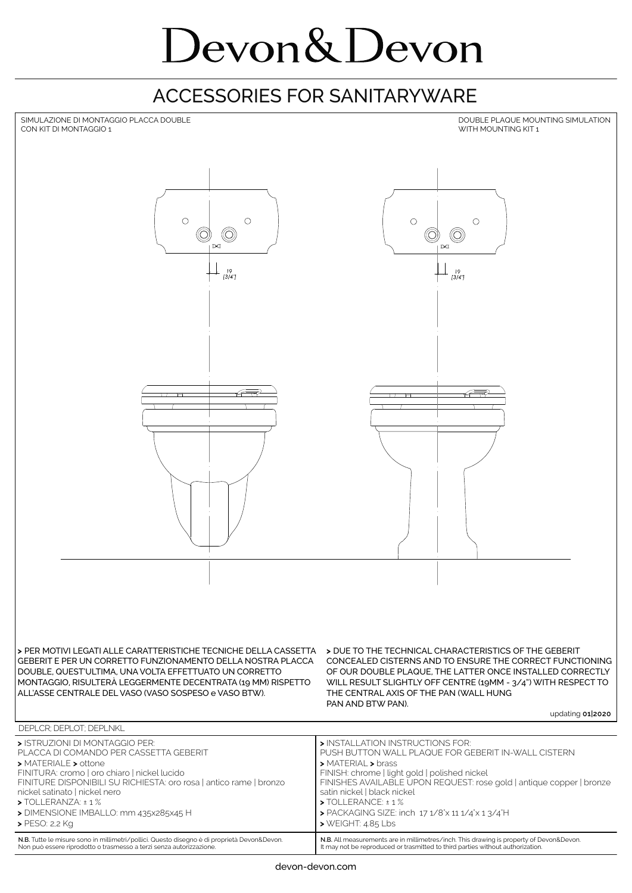# Devon & Devon

#### ACCESSORIES FOR SANITARYWARE



It may not be reproduced or trasmitted to third parties without authorization

Non può essere riprodotto o trasmesso a terzi senza autorizzazione.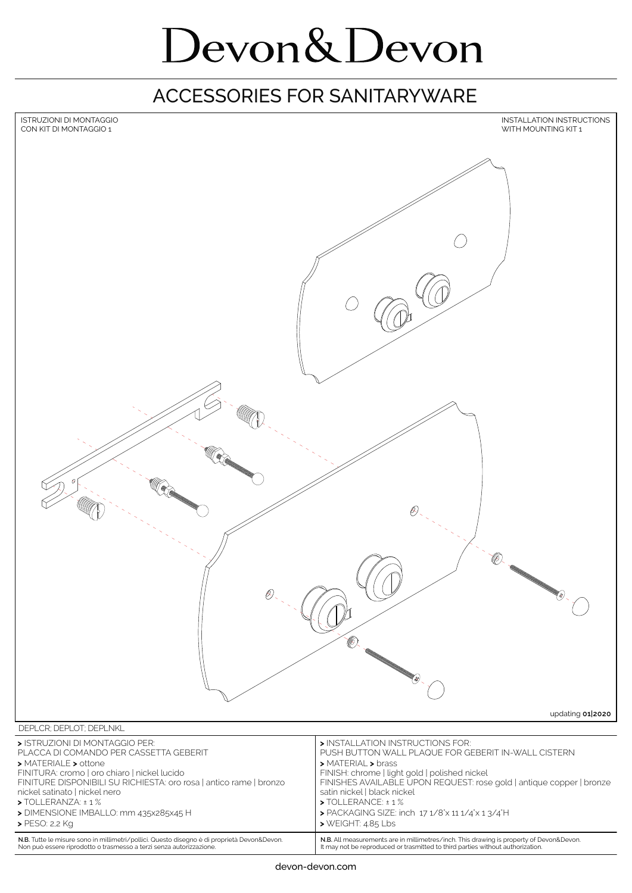# Devon&Devon

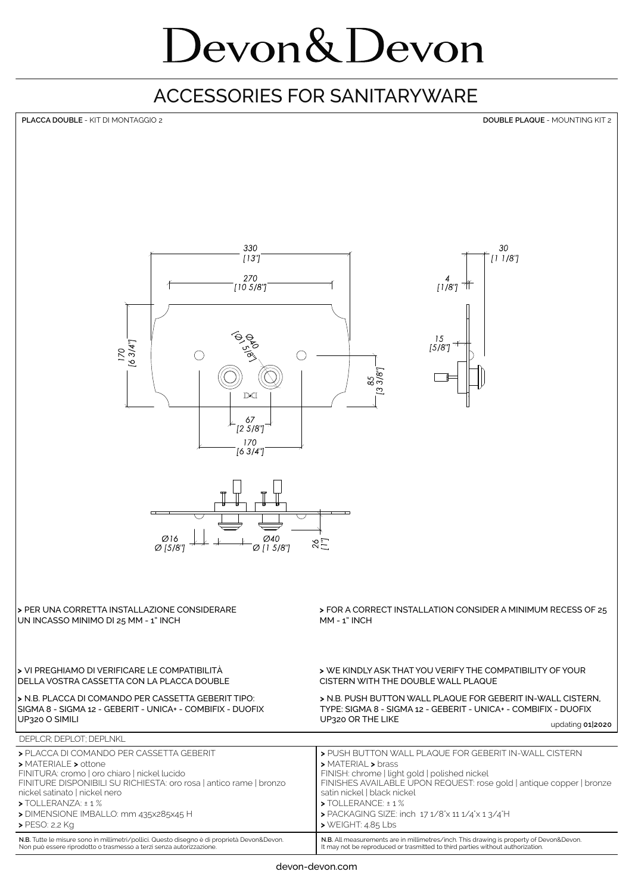# Devon & Devon

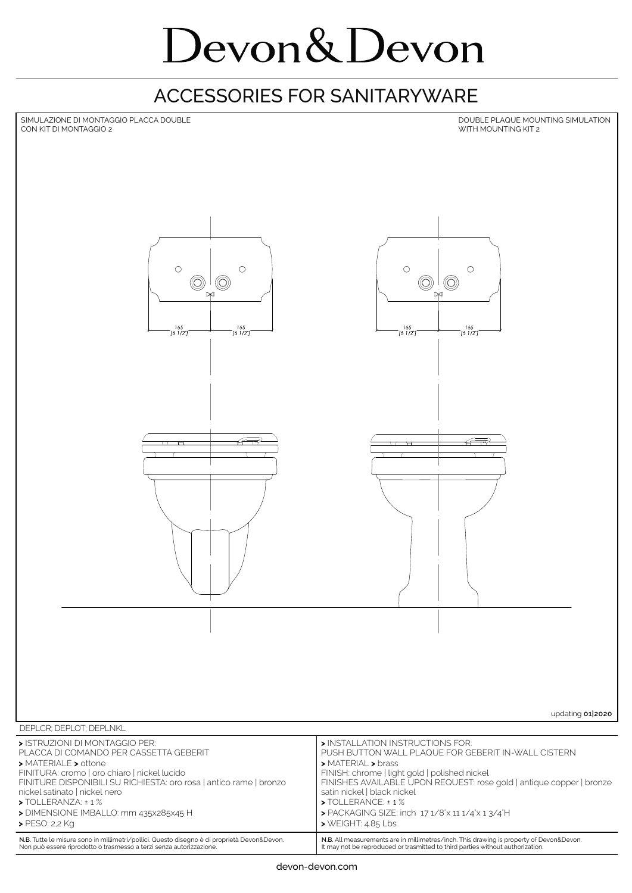# Devon&Devon